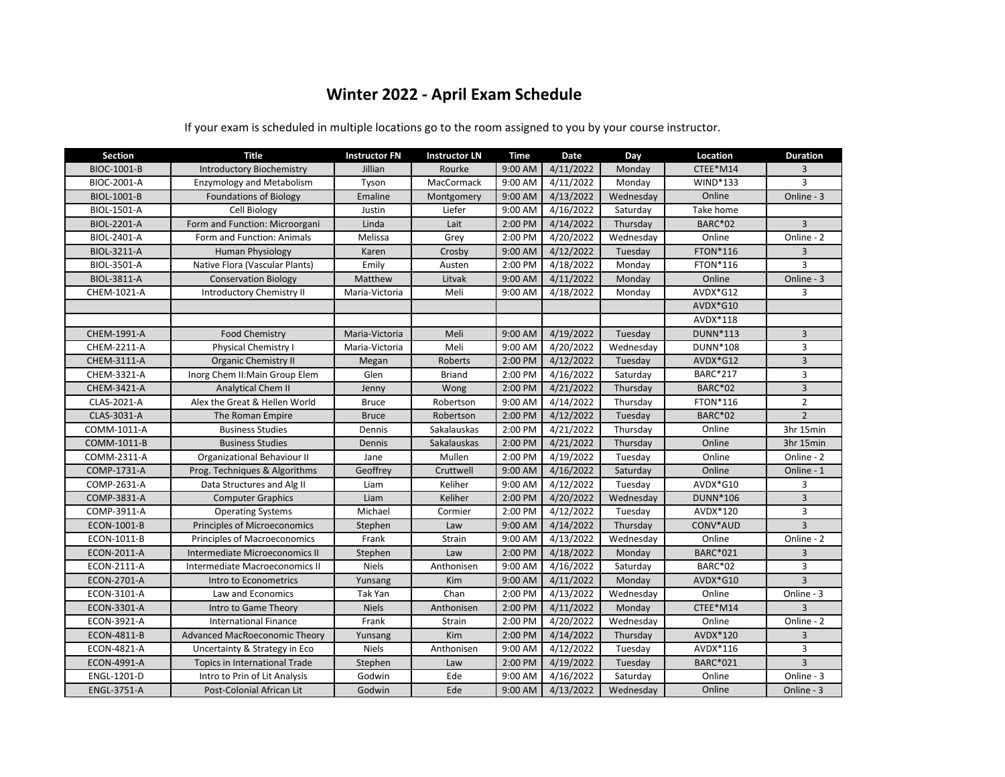## **Winter 2022 - April Exam Schedule**

| <b>Section</b>     | <b>Title</b>                         | <b>Instructor FN</b> | <b>Instructor LN</b> | Time      | Date      | Day       | Location        | <b>Duration</b>          |
|--------------------|--------------------------------------|----------------------|----------------------|-----------|-----------|-----------|-----------------|--------------------------|
| BIOC-1001-B        | <b>Introductory Biochemistry</b>     | Jillian              | Rourke               | 9:00 AM   | 4/11/2022 | Monday    | CTEE*M14        | 3                        |
| BIOC-2001-A        | <b>Enzymology and Metabolism</b>     | Tyson                | MacCormack           | 9:00 AM   | 4/11/2022 | Monday    | WIND*133        | 3                        |
| <b>BIOL-1001-B</b> | <b>Foundations of Biology</b>        | Emaline              | Montgomery           | 9:00 AM   | 4/13/2022 | Wednesday | Online          | Online - 3               |
| <b>BIOL-1501-A</b> | Cell Biology                         | Justin               | Liefer               | 9:00 AM   | 4/16/2022 | Saturday  | Take home       |                          |
| <b>BIOL-2201-A</b> | Form and Function: Microorgani       | Linda                | Lait                 | 2:00 PM   | 4/14/2022 | Thursday  | <b>BARC*02</b>  | 3                        |
| BIOL-2401-A        | Form and Function: Animals           | Melissa              | Grey                 | 2:00 PM   | 4/20/2022 | Wednesday | Online          | Online - 2               |
| BIOL-3211-A        | Human Physiology                     | Karen                | Crosby               | 9:00 AM   | 4/12/2022 | Tuesday   | <b>FTON*116</b> | 3                        |
| BIOL-3501-A        | Native Flora (Vascular Plants)       | Emily                | Austen               | 2:00 PM   | 4/18/2022 | Monday    | <b>FTON*116</b> | 3                        |
| <b>BIOL-3811-A</b> | <b>Conservation Biology</b>          | Matthew              | Litvak               | $9:00$ AM | 4/11/2022 | Monday    | Online          | Online - 3               |
| CHEM-1021-A        | <b>Introductory Chemistry II</b>     | Maria-Victoria       | Meli                 | 9:00 AM   | 4/18/2022 | Monday    | AVDX*G12        | 3                        |
|                    |                                      |                      |                      |           |           |           | AVDX*G10        |                          |
|                    |                                      |                      |                      |           |           |           | AVDX*118        |                          |
| CHEM-1991-A        | <b>Food Chemistry</b>                | Maria-Victoria       | Meli                 | 9:00 AM   | 4/19/2022 | Tuesday   | DUNN*113        | $\overline{3}$           |
| CHEM-2211-A        | Physical Chemistry I                 | Maria-Victoria       | Meli                 | 9:00 AM   | 4/20/2022 | Wednesday | DUNN*108        | 3                        |
| CHEM-3111-A        | <b>Organic Chemistry II</b>          | Megan                | Roberts              | 2:00 PM   | 4/12/2022 | Tuesday   | AVDX*G12        | $\overline{3}$           |
| CHEM-3321-A        | Inorg Chem II: Main Group Elem       | Glen                 | <b>Briand</b>        | 2:00 PM   | 4/16/2022 | Saturday  | BARC*217        | 3                        |
| CHEM-3421-A        | Analytical Chem II                   | Jenny                | Wong                 | 2:00 PM   | 4/21/2022 | Thursday  | <b>BARC*02</b>  | $\overline{3}$           |
| CLAS-2021-A        | Alex the Great & Hellen World        | <b>Bruce</b>         | Robertson            | 9:00 AM   | 4/14/2022 | Thursday  | <b>FTON*116</b> | $\overline{2}$           |
| CLAS-3031-A        | The Roman Empire                     | <b>Bruce</b>         | Robertson            | 2:00 PM   | 4/12/2022 | Tuesday   | <b>BARC*02</b>  | $\overline{2}$           |
| COMM-1011-A        | <b>Business Studies</b>              | Dennis               | Sakalauskas          | 2:00 PM   | 4/21/2022 | Thursday  | Online          | 3hr 15min                |
| COMM-1011-B        | <b>Business Studies</b>              | Dennis               | Sakalauskas          | 2:00 PM   | 4/21/2022 | Thursday  | Online          | 3hr 15min                |
| COMM-2311-A        | Organizational Behaviour II          | Jane                 | Mullen               | 2:00 PM   | 4/19/2022 | Tuesday   | Online          | Online - 2               |
| COMP-1731-A        | Prog. Techniques & Algorithms        | Geoffrey             | Cruttwell            | 9:00 AM   | 4/16/2022 | Saturday  | Online          | Online - 1               |
| COMP-2631-A        | Data Structures and Alg II           | Liam                 | Keliher              | 9:00 AM   | 4/12/2022 | Tuesday   | AVDX*G10        | 3                        |
| COMP-3831-A        | <b>Computer Graphics</b>             | Liam                 | Keliher              | 2:00 PM   | 4/20/2022 | Wednesday | DUNN*106        | $\overline{3}$           |
| COMP-3911-A        | <b>Operating Systems</b>             | Michael              | Cormier              | 2:00 PM   | 4/12/2022 | Tuesday   | AVDX*120        | 3                        |
| ECON-1001-B        | Principles of Microeconomics         | Stephen              | Law                  | 9:00 AM   | 4/14/2022 | Thursday  | CONV*AUD        | $\overline{3}$           |
| ECON-1011-B        | Principles of Macroeconomics         | Frank                | Strain               | 9:00 AM   | 4/13/2022 | Wednesday | Online          | Online - 2               |
| ECON-2011-A        | Intermediate Microeconomics II       | Stephen              | Law                  | 2:00 PM   | 4/18/2022 | Monday    | BARC*021        | 3                        |
| ECON-2111-A        | Intermediate Macroeconomics II       | <b>Niels</b>         | Anthonisen           | 9:00 AM   | 4/16/2022 | Saturday  | <b>BARC*02</b>  | 3                        |
| ECON-2701-A        | Intro to Econometrics                | Yunsang              | Kim                  | 9:00 AM   | 4/11/2022 | Monday    | AVDX*G10        | $\overline{3}$           |
| ECON-3101-A        | Law and Economics                    | Tak Yan              | Chan                 | 2:00 PM   | 4/13/2022 | Wednesday | Online          | Online - 3               |
| ECON-3301-A        | Intro to Game Theory                 | <b>Niels</b>         | Anthonisen           | 2:00 PM   | 4/11/2022 | Monday    | CTEE*M14        | 3                        |
| <b>ECON-3921-A</b> | <b>International Finance</b>         | Frank                | Strain               | 2:00 PM   | 4/20/2022 | Wednesday | Online          | Online - 2               |
| <b>ECON-4811-B</b> | Advanced MacRoeconomic Theory        | Yunsang              | Kim                  | 2:00 PM   | 4/14/2022 | Thursday  | AVDX*120        | 3                        |
| <b>ECON-4821-A</b> | Uncertainty & Strategy in Eco        | <b>Niels</b>         | Anthonisen           | 9:00 AM   | 4/12/2022 | Tuesday   | AVDX*116        | 3                        |
| ECON-4991-A        | <b>Topics in International Trade</b> | Stephen              | Law                  | 2:00 PM   | 4/19/2022 | Tuesday   | <b>BARC*021</b> | $\overline{3}$           |
| ENGL-1201-D        | Intro to Prin of Lit Analysis        | Godwin               | Ede                  | 9:00 AM   | 4/16/2022 | Saturday  | Online          | $\overline{On}$ line - 3 |
| <b>ENGL-3751-A</b> | Post-Colonial African Lit            | Godwin               | Ede                  | 9:00 AM   | 4/13/2022 | Wednesday | Online          | Online - 3               |

If your exam is scheduled in multiple locations go to the room assigned to you by your course instructor.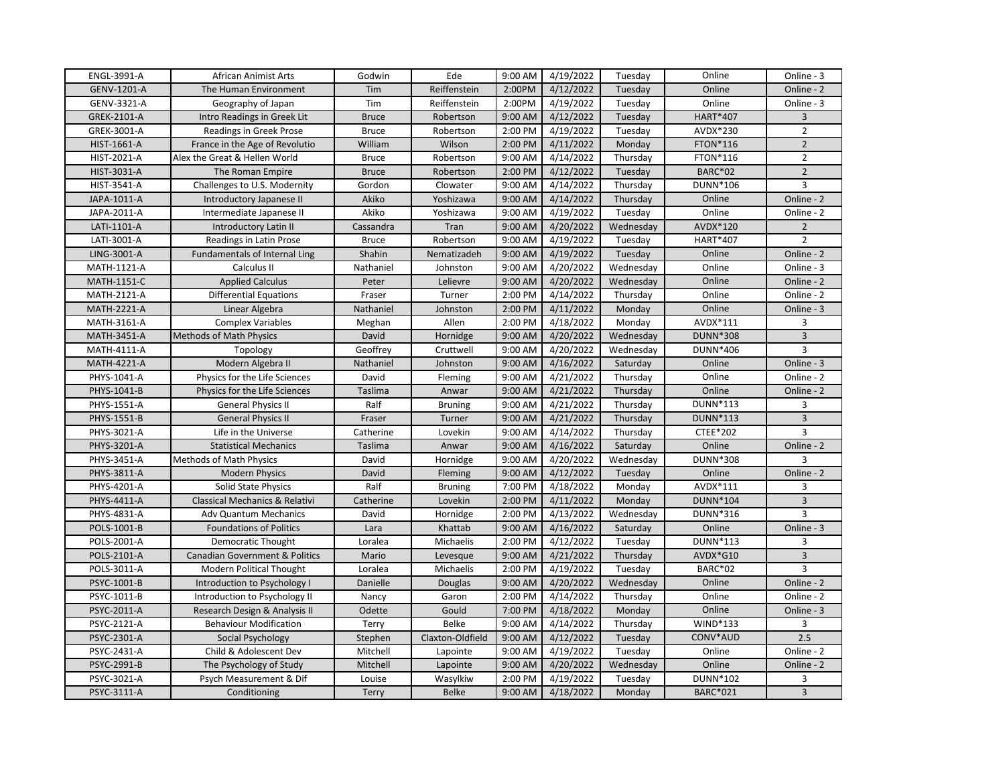| ENGL-3991-A        | <b>African Animist Arts</b>               | Godwin       | Ede              | 9:00 AM | 4/19/2022 | Tuesday   | Online          | Online - 3              |
|--------------------|-------------------------------------------|--------------|------------------|---------|-----------|-----------|-----------------|-------------------------|
| GENV-1201-A        | The Human Environment                     | Tim          | Reiffenstein     | 2:00PM  | 4/12/2022 | Tuesday   | Online          | Online - 2              |
| GENV-3321-A        | Geography of Japan                        | Tim          | Reiffenstein     | 2:00PM  | 4/19/2022 | Tuesday   | Online          | Online - 3              |
| GREK-2101-A        | Intro Readings in Greek Lit               | <b>Bruce</b> | Robertson        | 9:00 AM | 4/12/2022 | Tuesday   | <b>HART*407</b> | 3                       |
| GREK-3001-A        | Readings in Greek Prose                   | <b>Bruce</b> | Robertson        | 2:00 PM | 4/19/2022 | Tuesday   | AVDX*230        | $\overline{2}$          |
| HIST-1661-A        | France in the Age of Revolutio            | William      | Wilson           | 2:00 PM | 4/11/2022 | Monday    | FTON*116        | $\overline{2}$          |
| HIST-2021-A        | Alex the Great & Hellen World             | <b>Bruce</b> | Robertson        | 9:00 AM | 4/14/2022 | Thursday  | FTON*116        | $\overline{2}$          |
| HIST-3031-A        | The Roman Empire                          | <b>Bruce</b> | Robertson        | 2:00 PM | 4/12/2022 | Tuesday   | <b>BARC*02</b>  | $\overline{2}$          |
| HIST-3541-A        | Challenges to U.S. Modernity              | Gordon       | Clowater         | 9:00 AM | 4/14/2022 | Thursday  | DUNN*106        | 3                       |
| JAPA-1011-A        | Introductory Japanese II                  | Akiko        | Yoshizawa        | 9:00 AM | 4/14/2022 | Thursday  | Online          | Online - 2              |
| JAPA-2011-A        | Intermediate Japanese II                  | Akiko        | Yoshizawa        | 9:00 AM | 4/19/2022 | Tuesday   | Online          | Online - 2              |
| LATI-1101-A        | Introductory Latin II                     | Cassandra    | Tran             | 9:00 AM | 4/20/2022 | Wednesday | AVDX*120        | $\overline{2}$          |
| LATI-3001-A        | Readings in Latin Prose                   | <b>Bruce</b> | Robertson        | 9:00 AM | 4/19/2022 | Tuesday   | HART*407        | $\overline{2}$          |
| LING-3001-A        | Fundamentals of Internal Ling             | Shahin       | Nematizadeh      | 9:00 AM | 4/19/2022 | Tuesday   | Online          | Online - 2              |
| MATH-1121-A        | Calculus II                               | Nathaniel    | Johnston         | 9:00 AM | 4/20/2022 | Wednesday | Online          | Online - 3              |
| MATH-1151-C        | <b>Applied Calculus</b>                   | Peter        | Lelievre         | 9:00 AM | 4/20/2022 | Wednesday | Online          | Online - 2              |
| MATH-2121-A        | <b>Differential Equations</b>             | Fraser       | Turner           | 2:00 PM | 4/14/2022 | Thursday  | Online          | Online - 2              |
| <b>MATH-2221-A</b> | Linear Algebra                            | Nathaniel    | Johnston         | 2:00 PM | 4/11/2022 | Monday    | Online          | Online - 3              |
| MATH-3161-A        | <b>Complex Variables</b>                  | Meghan       | Allen            | 2:00 PM | 4/18/2022 | Monday    | AVDX*111        | 3                       |
| <b>MATH-3451-A</b> | <b>Methods of Math Physics</b>            | David        | Hornidge         | 9:00 AM | 4/20/2022 | Wednesday | <b>DUNN*308</b> | $\overline{\mathbf{3}}$ |
| MATH-4111-A        | Topology                                  | Geoffrey     | Cruttwell        | 9:00 AM | 4/20/2022 | Wednesday | DUNN*406        | 3                       |
| MATH-4221-A        | Modern Algebra II                         | Nathaniel    | Johnston         | 9:00 AM | 4/16/2022 | Saturday  | Online          | Online - 3              |
| PHYS-1041-A        | Physics for the Life Sciences             | David        | Fleming          | 9:00 AM | 4/21/2022 | Thursday  | Online          | Online - 2              |
| PHYS-1041-B        | Physics for the Life Sciences             | Taslima      | Anwar            | 9:00 AM | 4/21/2022 | Thursday  | Online          | Online - 2              |
| PHYS-1551-A        | <b>General Physics II</b>                 | Ralf         | Bruning          | 9:00 AM | 4/21/2022 | Thursday  | DUNN*113        | 3                       |
| PHYS-1551-B        | <b>General Physics II</b>                 | Fraser       | Turner           | 9:00 AM | 4/21/2022 | Thursday  | DUNN*113        | $\overline{\mathbf{3}}$ |
| PHYS-3021-A        | Life in the Universe                      | Catherine    | Lovekin          | 9:00 AM | 4/14/2022 | Thursday  | CTEE*202        | 3                       |
| PHYS-3201-A        | <b>Statistical Mechanics</b>              | Taslima      | Anwar            | 9:00 AM | 4/16/2022 | Saturday  | Online          | Online - 2              |
| PHYS-3451-A        | <b>Methods of Math Physics</b>            | David        | Hornidge         | 9:00 AM | 4/20/2022 | Wednesday | DUNN*308        | 3                       |
| PHYS-3811-A        | <b>Modern Physics</b>                     | David        | Fleming          | 9:00 AM | 4/12/2022 | Tuesday   | Online          | Online - 2              |
| PHYS-4201-A        | Solid State Physics                       | Ralf         | <b>Bruning</b>   | 7:00 PM | 4/18/2022 | Monday    | AVDX*111        | 3                       |
| PHYS-4411-A        | <b>Classical Mechanics &amp; Relativi</b> | Catherine    | Lovekin          | 2:00 PM | 4/11/2022 | Monday    | DUNN*104        | $\overline{3}$          |
| PHYS-4831-A        | <b>Adv Quantum Mechanics</b>              | David        | Hornidge         | 2:00 PM | 4/13/2022 | Wednesday | DUNN*316        | 3                       |
| POLS-1001-B        | <b>Foundations of Politics</b>            | Lara         | Khattab          | 9:00 AM | 4/16/2022 | Saturday  | Online          | Online - 3              |
| POLS-2001-A        | <b>Democratic Thought</b>                 | Loralea      | Michaelis        | 2:00 PM | 4/12/2022 | Tuesday   | DUNN*113        | 3                       |
| POLS-2101-A        | <b>Canadian Government &amp; Politics</b> | Mario        | Levesque         | 9:00 AM | 4/21/2022 | Thursday  | AVDX*G10        | $\overline{3}$          |
| POLS-3011-A        | <b>Modern Political Thought</b>           | Loralea      | Michaelis        | 2:00 PM | 4/19/2022 | Tuesday   | <b>BARC*02</b>  | 3                       |
| PSYC-1001-B        | Introduction to Psychology I              | Danielle     | Douglas          | 9:00 AM | 4/20/2022 | Wednesday | Online          | Online - 2              |
| PSYC-1011-B        | Introduction to Psychology II             | Nancy        | Garon            | 2:00 PM | 4/14/2022 | Thursday  | Online          | Online - 2              |
| PSYC-2011-A        | Research Design & Analysis II             | Odette       | Gould            | 7:00 PM | 4/18/2022 | Monday    | Online          | Online - 3              |
| PSYC-2121-A        | <b>Behaviour Modification</b>             | Terry        | Belke            | 9:00 AM | 4/14/2022 | Thursday  | WIND*133        | 3                       |
| PSYC-2301-A        | Social Psychology                         | Stephen      | Claxton-Oldfield | 9:00 AM | 4/12/2022 | Tuesday   | CONV*AUD        | 2.5                     |
| PSYC-2431-A        | Child & Adolescent Dev                    | Mitchell     | Lapointe         | 9:00 AM | 4/19/2022 | Tuesday   | Online          | Online - 2              |
| PSYC-2991-B        | The Psychology of Study                   | Mitchell     | Lapointe         | 9:00 AM | 4/20/2022 | Wednesday | Online          | Online - 2              |
| PSYC-3021-A        | Psych Measurement & Dif                   | Louise       | Wasylkiw         | 2:00 PM | 4/19/2022 | Tuesday   | DUNN*102        | 3                       |
| PSYC-3111-A        | Conditioning                              | Terry        | <b>Belke</b>     | 9:00 AM | 4/18/2022 | Monday    | BARC*021        | 3                       |